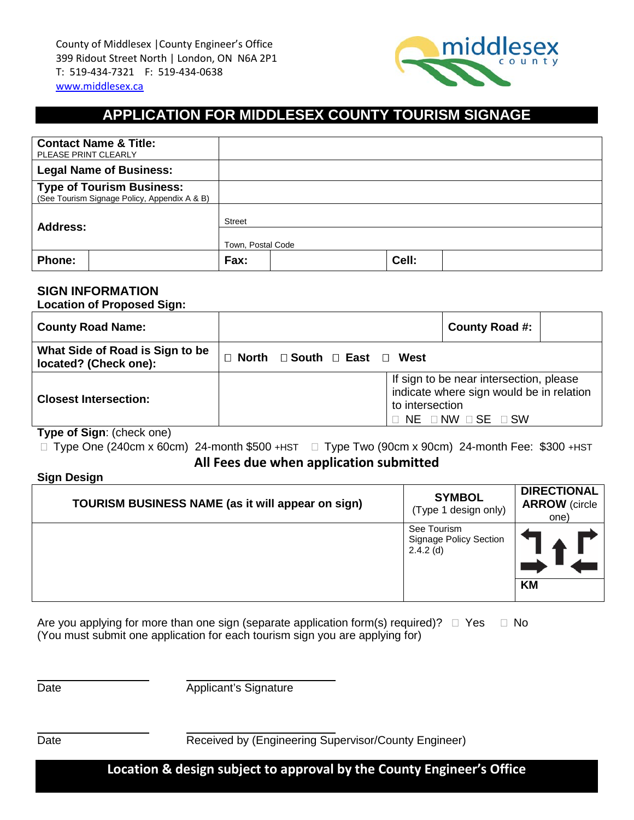

# **APPLICATION FOR MIDDLESEX COUNTY TOURISM SIGNAGE**

| <b>Contact Name &amp; Title:</b><br>PLEASE PRINT CLEARLY                         |                   |  |       |  |  |
|----------------------------------------------------------------------------------|-------------------|--|-------|--|--|
| <b>Legal Name of Business:</b>                                                   |                   |  |       |  |  |
| <b>Type of Tourism Business:</b><br>(See Tourism Signage Policy, Appendix A & B) |                   |  |       |  |  |
| Address:                                                                         | <b>Street</b>     |  |       |  |  |
|                                                                                  | Town, Postal Code |  |       |  |  |
| Phone:                                                                           | Fax:              |  | Cell: |  |  |

### **SIGN INFORMATION**

**Location of Proposed Sign:**

| <b>County Road Name:</b>                                 |                                              |                 | County Road #:                                                                                                            |  |
|----------------------------------------------------------|----------------------------------------------|-----------------|---------------------------------------------------------------------------------------------------------------------------|--|
| What Side of Road is Sign to be<br>located? (Check one): | $\Box$ North $\Box$ South $\Box$ East $\Box$ | West            |                                                                                                                           |  |
| <b>Closest Intersection:</b><br>$\ddot{\phantom{0}}$     |                                              | to intersection | If sign to be near intersection, please<br>indicate where sign would be in relation<br>$NE$ $\Box$ NW $\Box$ SE $\Box$ SW |  |

**Type of Sign**: (check one)

Type One (240cm x 60cm) 24-month \$500 +HST Type Two (90cm x 90cm) 24-month Fee: \$300 +HST

**All Fees due when application submitted**

**Sign Design** 

| TOURISM BUSINESS NAME (as it will appear on sign) | <b>SYMBOL</b><br>(Type 1 design only)                | <b>DIRECTIONAL</b><br><b>ARROW</b> (circle<br>one) |
|---------------------------------------------------|------------------------------------------------------|----------------------------------------------------|
|                                                   | See Tourism<br>Signage Policy Section<br>$2.4.2$ (d) |                                                    |
|                                                   |                                                      | <b>KM</b>                                          |

Are you applying for more than one sign (separate application form(s) required)?  $\Box$  Yes  $\Box$  No (You must submit one application for each tourism sign you are applying for)

Date **Date** Applicant's Signature

Date **Date** Received by (Engineering Supervisor/County Engineer)

**Location & design subject to approval by the County Engineer's Office**